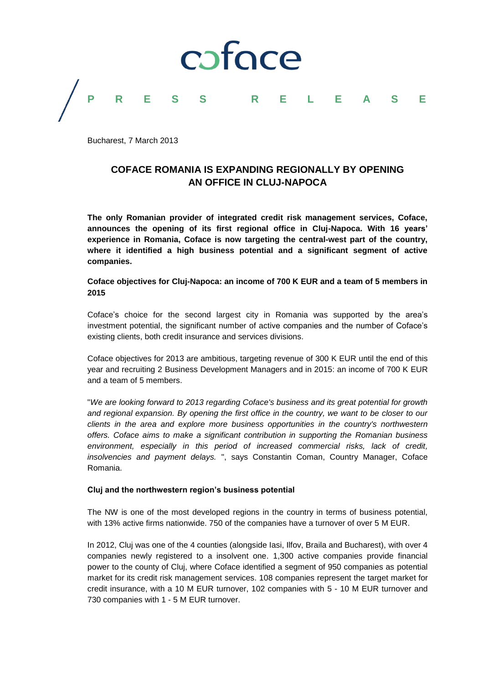

Bucharest, 7 March 2013

# **COFACE ROMANIA IS EXPANDING REGIONALLY BY OPENING AN OFFICE IN CLUJ-NAPOCA**

**The only Romanian provider of integrated credit risk management services, Coface, announces the opening of its first regional office in Cluj-Napoca. With 16 years' experience in Romania, Coface is now targeting the central-west part of the country, where it identified a high business potential and a significant segment of active companies.**

**Coface objectives for Cluj-Napoca: an income of 700 K EUR and a team of 5 members in 2015**

Coface's choice for the second largest city in Romania was supported by the area's investment potential, the significant number of active companies and the number of Coface's existing clients, both credit insurance and services divisions.

Coface objectives for 2013 are ambitious, targeting revenue of 300 K EUR until the end of this year and recruiting 2 Business Development Managers and in 2015: an income of 700 K EUR and a team of 5 members.

"*We are looking forward to 2013 regarding Coface's business and its great potential for growth and regional expansion. By opening the first office in the country, we want to be closer to our clients in the area and explore more business opportunities in the country's northwestern offers. Coface aims to make a significant contribution in supporting the Romanian business environment, especially in this period of increased commercial risks, lack of credit, insolvencies and payment delays.* ", says Constantin Coman, Country Manager, Coface Romania.

# **Cluj and the northwestern region's business potential**

The NW is one of the most developed regions in the country in terms of business potential, with 13% active firms nationwide. 750 of the companies have a turnover of over 5 M EUR.

In 2012, Cluj was one of the 4 counties (alongside Iasi, Ilfov, Braila and Bucharest), with over 4 companies newly registered to a insolvent one. 1,300 active companies provide financial power to the county of Cluj, where Coface identified a segment of 950 companies as potential market for its credit risk management services. 108 companies represent the target market for credit insurance, with a 10 M EUR turnover, 102 companies with 5 - 10 M EUR turnover and 730 companies with 1 - 5 M EUR turnover.